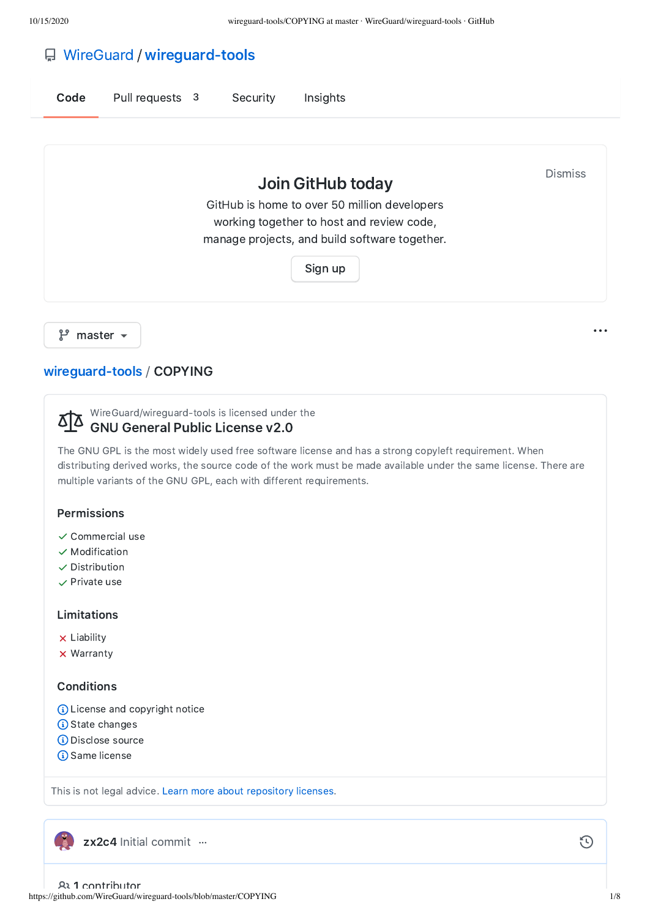# [WireGuard](https://github.com/WireGuard) / [wireguard-tools](https://github.com/WireGuard/wireguard-tools)

| Code | Pull requests 3 | Security | Insights                                                                                                                                                                   |                |
|------|-----------------|----------|----------------------------------------------------------------------------------------------------------------------------------------------------------------------------|----------------|
|      |                 |          | Join GitHub today<br>GitHub is home to over 50 million developers<br>working together to host and review code,<br>manage projects, and build software together.<br>Sign up | <b>Dismiss</b> |

 $\mathcal{P}$  master  $\sim$ 

## [wireguard-tools](https://github.com/WireGuard/wireguard-tools) / COPYING

WireGuard/wireguard-tools is licensed under the <u> 812</u>

## GNU General Public License v2.0

The GNU GPL is the most widely used free software license and has a strong copyleft requirement. When distributing derived works, the source code of the work must be made available under the same license. There are multiple variants of the GNU GPL, each with different requirements.

### Permissions

- $\checkmark$  Commercial use
- $\checkmark$  Modification
- $\checkmark$  Distribution
- $\checkmark$  Private use

#### Limitations

- **x** Liability
- **x** Warranty

#### **Conditions**

- (i) License and copyright notice
- **G** State changes
- Disclose source
- **G** Same license

This is not legal advice. Learn more about [repository](https://docs.github.com/articles/licensing-a-repository/#disclaimer) licenses.

[zx2c4](https://github.com/zx2c4) Initial [commit](https://github.com/WireGuard/wireguard-tools/commit/8132305e54d45dbad65bf9ef6f6c5805c841d1da) …

https://github.com/WireGuard/wireguard-tools/blob/master/COPYING 1/8 1 contributor

 $\odot$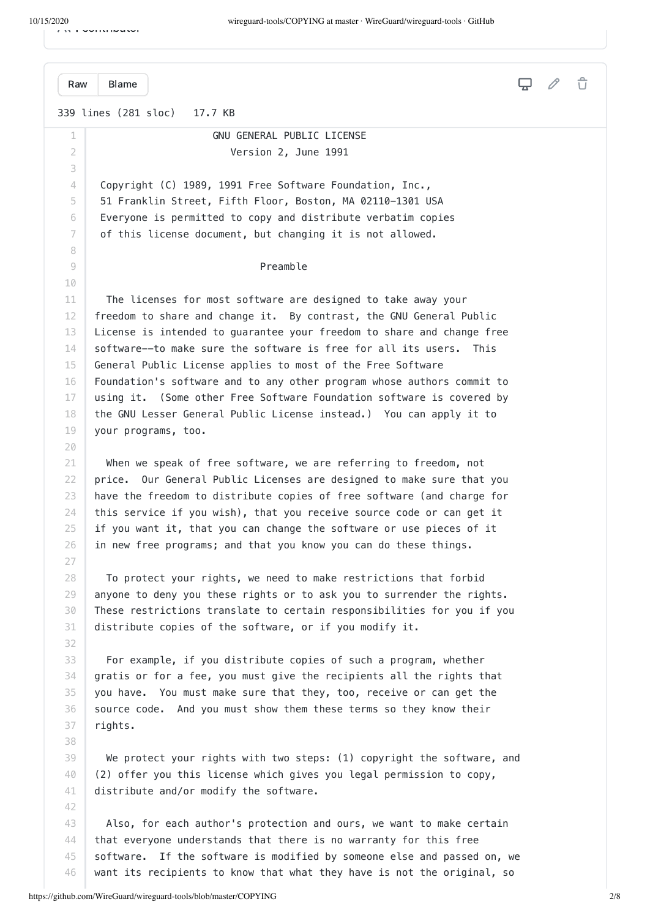1 contributor

|  |  | $\cdots$ $\cdots$ |  |  |
|--|--|-------------------|--|--|
|  |  |                   |  |  |

339 lines (281 sloc) 17.7 KB 1  $\overline{\mathcal{L}}$ 3 4 5 6 7 8 9 10 11 12 13 14 15 16 17 18 19 20 21 22 23 24 25 26 27 28 29 30 31 32 33 34 35 36 37 38 39 40 41 42 43 44 45 [Raw](https://github.com/WireGuard/wireguard-tools/raw/master/COPYING) [Blame](https://github.com/WireGuard/wireguard-tools/blame/master/COPYING) GNU GENERAL PUBLIC LICENSE Version 2, June 1991 Copyright (C) 1989, 1991 Free Software Foundation, Inc., 51 Franklin Street, Fifth Floor, Boston, MA 02110-1301 USA Everyone is permitted to copy and distribute verbatim copies of this license document, but changing it is not allowed. Preamble The licenses for most software are designed to take away your freedom to share and change it. By contrast, the GNU General Public License is intended to guarantee your freedom to share and change free software--to make sure the software is free for all its users. This General Public License applies to most of the Free Software Foundation's software and to any other program whose authors commit to using it. (Some other Free Software Foundation software is covered by the GNU Lesser General Public License instead.) You can apply it to your programs, too. When we speak of free software, we are referring to freedom, not price. Our General Public Licenses are designed to make sure that you have the freedom to distribute copies of free software (and charge for this service if you wish), that you receive source code or can get it if you want it, that you can change the software or use pieces of it in new free programs; and that you know you can do these things. To protect your rights, we need to make restrictions that forbid anyone to deny you these rights or to ask you to surrender the rights. These restrictions translate to certain responsibilities for you if you distribute copies of the software, or if you modify it. For example, if you distribute copies of such a program, whether gratis or for a fee, you must give the recipients all the rights that you have. You must make sure that they, too, receive or can get the source code. And you must show them these terms so they know their rights. We protect your rights with two steps: (1) copyright the software, and (2) offer you this license which gives you legal permission to copy, distribute and/or modify the software. Also, for each author's protection and ours, we want to make certain that everyone understands that there is no warranty for this free software. If the software is modified by someone else and passed on, we

want its recipients to know that what they have is not the original, so

46

 $\hat{U}$ 

 $\Box$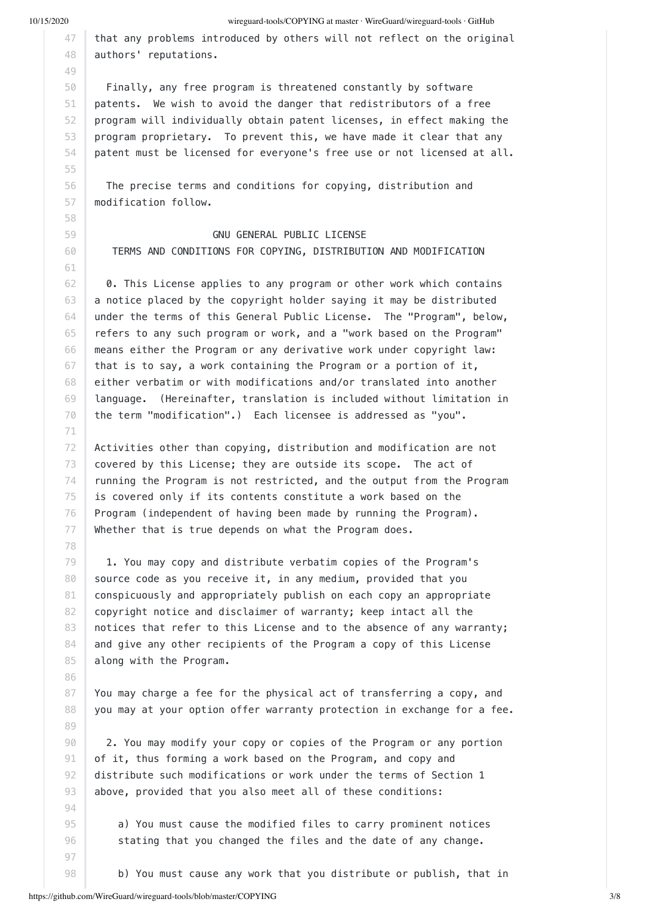55

71

78

86

89

10/15/2020 wireguard-tools/COPYING at master · WireGuard/wireguard-tools · GitHub

47 48 that any problems introduced by others will not reflect on the original authors' reputations.

50 51 52 53 54 Finally, any free program is threatened constantly by software patents. We wish to avoid the danger that redistributors of a free program will individually obtain patent licenses, in effect making the program proprietary. To prevent this, we have made it clear that any patent must be licensed for everyone's free use or not licensed at all.

56 57 The precise terms and conditions for copying, distribution and modification follow.

 GNU GENERAL PUBLIC LICENSE TERMS AND CONDITIONS FOR COPYING, DISTRIBUTION AND MODIFICATION

62 63 64 65 66 67 68 69 70 0. This License applies to any program or other work which contains a notice placed by the copyright holder saying it may be distributed under the terms of this General Public License. The "Program", below, refers to any such program or work, and a "work based on the Program" means either the Program or any derivative work under copyright law: that is to say, a work containing the Program or a portion of it, either verbatim or with modifications and/or translated into another language. (Hereinafter, translation is included without limitation in the term "modification".) Each licensee is addressed as "you".

72 73 74 75 76 77 Activities other than copying, distribution and modification are not covered by this License; they are outside its scope. The act of running the Program is not restricted, and the output from the Program is covered only if its contents constitute a work based on the Program (independent of having been made by running the Program). Whether that is true depends on what the Program does.

79 80 81 82 83 84 85 1. You may copy and distribute verbatim copies of the Program's source code as you receive it, in any medium, provided that you conspicuously and appropriately publish on each copy an appropriate copyright notice and disclaimer of warranty; keep intact all the notices that refer to this License and to the absence of any warranty; and give any other recipients of the Program a copy of this License along with the Program.

87 88 You may charge a fee for the physical act of transferring a copy, and you may at your option offer warranty protection in exchange for a fee.

90 91 92 93 2. You may modify your copy or copies of the Program or any portion of it, thus forming a work based on the Program, and copy and distribute such modifications or work under the terms of Section 1 above, provided that you also meet all of these conditions:

> a) You must cause the modified files to carry prominent notices stating that you changed the files and the date of any change.

b) You must cause any work that you distribute or publish, that in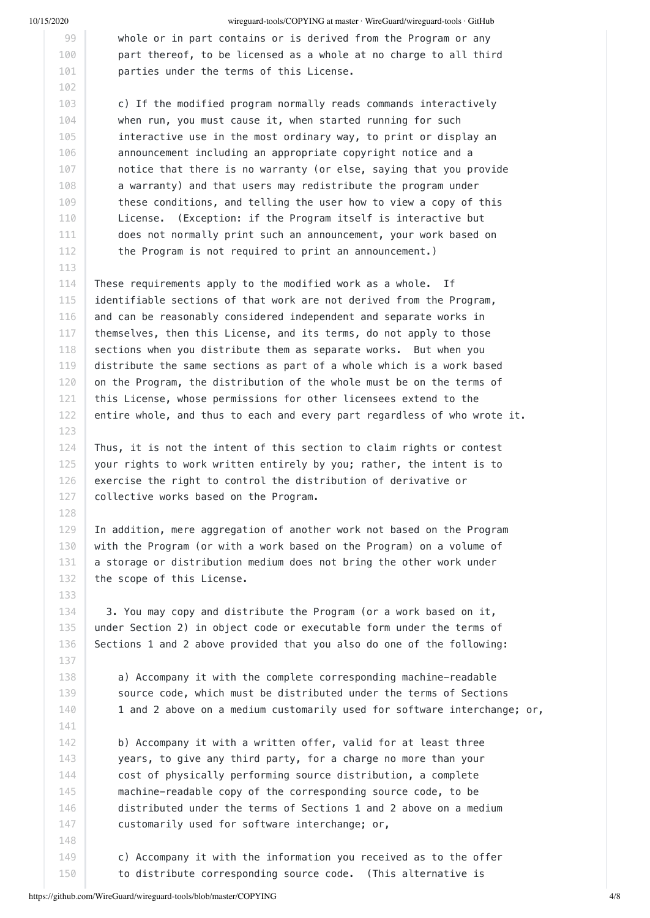123

128

10/15/2020 wireguard-tools/COPYING at master · WireGuard/wireguard-tools · GitHub

 whole or in part contains or is derived from the Program or any part thereof, to be licensed as a whole at no charge to all third parties under the terms of this License.

 c) If the modified program normally reads commands interactively when run, you must cause it, when started running for such interactive use in the most ordinary way, to print or display an announcement including an appropriate copyright notice and a notice that there is no warranty (or else, saying that you provide a warranty) and that users may redistribute the program under these conditions, and telling the user how to view a copy of this License. (Exception: if the Program itself is interactive but does not normally print such an announcement, your work based on the Program is not required to print an announcement.)

114 115 116 117 118 119 120 121 122 These requirements apply to the modified work as a whole. If identifiable sections of that work are not derived from the Program, and can be reasonably considered independent and separate works in themselves, then this License, and its terms, do not apply to those sections when you distribute them as separate works. But when you distribute the same sections as part of a whole which is a work based on the Program, the distribution of the whole must be on the terms of this License, whose permissions for other licensees extend to the entire whole, and thus to each and every part regardless of who wrote it.

124 125 126 127 Thus, it is not the intent of this section to claim rights or contest your rights to work written entirely by you; rather, the intent is to exercise the right to control the distribution of derivative or collective works based on the Program.

129 130 131 132 In addition, mere aggregation of another work not based on the Program with the Program (or with a work based on the Program) on a volume of a storage or distribution medium does not bring the other work under the scope of this License.

 3. You may copy and distribute the Program (or a work based on it, under Section 2) in object code or executable form under the terms of Sections 1 and 2 above provided that you also do one of the following:

 a) Accompany it with the complete corresponding machine-readable source code, which must be distributed under the terms of Sections 1 and 2 above on a medium customarily used for software interchange; or,

 b) Accompany it with a written offer, valid for at least three years, to give any third party, for a charge no more than your cost of physically performing source distribution, a complete machine-readable copy of the corresponding source code, to be distributed under the terms of Sections 1 and 2 above on a medium customarily used for software interchange; or,

 c) Accompany it with the information you received as to the offer to distribute corresponding source code. (This alternative is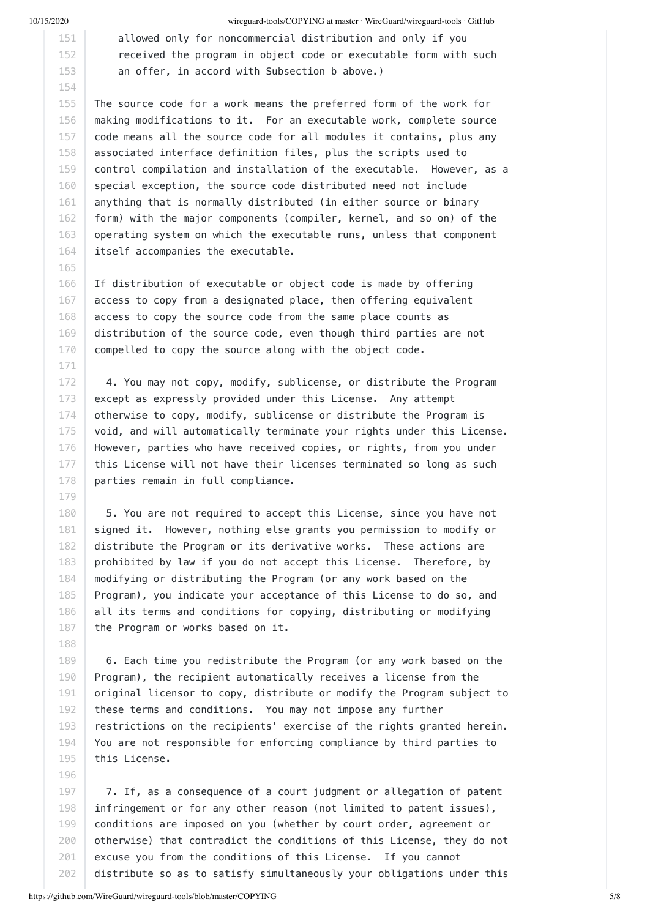165

171

179

188

196

10/15/2020 wireguard-tools/COPYING at master · WireGuard/wireguard-tools · GitHub

 allowed only for noncommercial distribution and only if you received the program in object code or executable form with such an offer, in accord with Subsection b above.)

155 156 157 158 159 160 161 162 163 164 The source code for a work means the preferred form of the work for making modifications to it. For an executable work, complete source code means all the source code for all modules it contains, plus any associated interface definition files, plus the scripts used to control compilation and installation of the executable. However, as a special exception, the source code distributed need not include anything that is normally distributed (in either source or binary form) with the major components (compiler, kernel, and so on) of the operating system on which the executable runs, unless that component itself accompanies the executable.

166 167 168 169 170 If distribution of executable or object code is made by offering access to copy from a designated place, then offering equivalent access to copy the source code from the same place counts as distribution of the source code, even though third parties are not compelled to copy the source along with the object code.

172 173 174 175 176 177 178 4. You may not copy, modify, sublicense, or distribute the Program except as expressly provided under this License. Any attempt otherwise to copy, modify, sublicense or distribute the Program is void, and will automatically terminate your rights under this License. However, parties who have received copies, or rights, from you under this License will not have their licenses terminated so long as such parties remain in full compliance.

180 181 182 183 184 185 186 187 5. You are not required to accept this License, since you have not signed it. However, nothing else grants you permission to modify or distribute the Program or its derivative works. These actions are prohibited by law if you do not accept this License. Therefore, by modifying or distributing the Program (or any work based on the Program), you indicate your acceptance of this License to do so, and all its terms and conditions for copying, distributing or modifying the Program or works based on it.

189 190 191 192 193 194 195 6. Each time you redistribute the Program (or any work based on the Program), the recipient automatically receives a license from the original licensor to copy, distribute or modify the Program subject to these terms and conditions. You may not impose any further restrictions on the recipients' exercise of the rights granted herein. You are not responsible for enforcing compliance by third parties to this License.

197 198 199 200 201 202 7. If, as a consequence of a court judgment or allegation of patent infringement or for any other reason (not limited to patent issues), conditions are imposed on you (whether by court order, agreement or otherwise) that contradict the conditions of this License, they do not excuse you from the conditions of this License. If you cannot distribute so as to satisfy simultaneously your obligations under this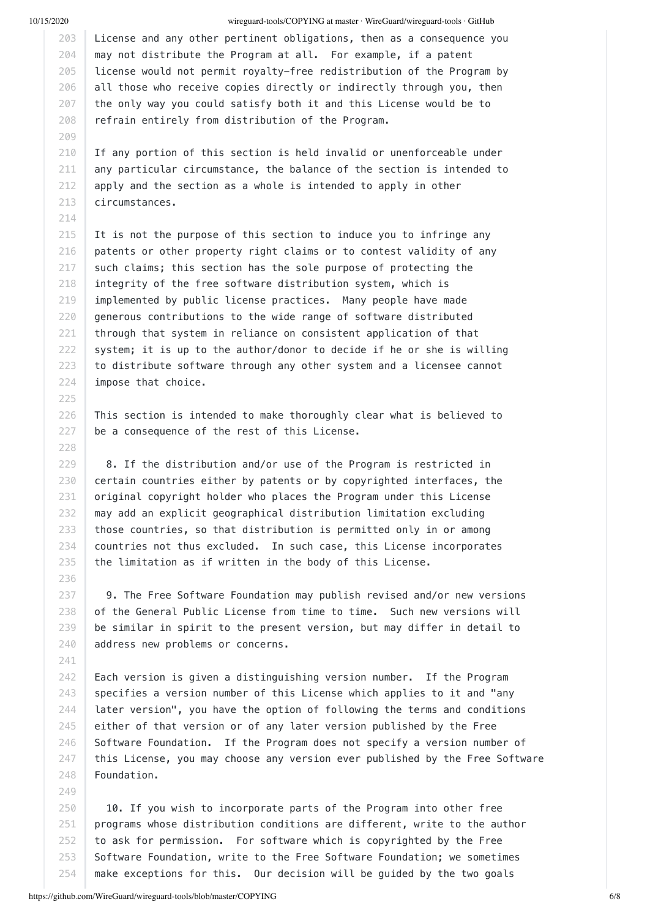214

225

227 228

236

241

249

#### 10/15/2020 wireguard-tools/COPYING at master · WireGuard/wireguard-tools · GitHub

203 204 205 206 207 208 License and any other pertinent obligations, then as a consequence you may not distribute the Program at all. For example, if a patent license would not permit royalty-free redistribution of the Program by all those who receive copies directly or indirectly through you, then the only way you could satisfy both it and this License would be to refrain entirely from distribution of the Program.

210 211 212 213 If any portion of this section is held invalid or unenforceable under any particular circumstance, the balance of the section is intended to apply and the section as a whole is intended to apply in other circumstances.

215 216 217 218 219 220 221 222 223 224 It is not the purpose of this section to induce you to infringe any patents or other property right claims or to contest validity of any such claims; this section has the sole purpose of protecting the integrity of the free software distribution system, which is implemented by public license practices. Many people have made generous contributions to the wide range of software distributed through that system in reliance on consistent application of that system; it is up to the author/donor to decide if he or she is willing to distribute software through any other system and a licensee cannot impose that choice.

226 This section is intended to make thoroughly clear what is believed to be a consequence of the rest of this License.

229 230 231 232 233 234 235 8. If the distribution and/or use of the Program is restricted in certain countries either by patents or by copyrighted interfaces, the original copyright holder who places the Program under this License may add an explicit geographical distribution limitation excluding those countries, so that distribution is permitted only in or among countries not thus excluded. In such case, this License incorporates the limitation as if written in the body of this License.

237 238 239 240 9. The Free Software Foundation may publish revised and/or new versions of the General Public License from time to time. Such new versions will be similar in spirit to the present version, but may differ in detail to address new problems or concerns.

242 243 244 245 246 247 248 Each version is given a distinguishing version number. If the Program specifies a version number of this License which applies to it and "any later version", you have the option of following the terms and conditions either of that version or of any later version published by the Free Software Foundation. If the Program does not specify a version number of this License, you may choose any version ever published by the Free Software Foundation.

250 251 252 253 254 10. If you wish to incorporate parts of the Program into other free programs whose distribution conditions are different, write to the author to ask for permission. For software which is copyrighted by the Free Software Foundation, write to the Free Software Foundation; we sometimes make exceptions for this. Our decision will be guided by the two goals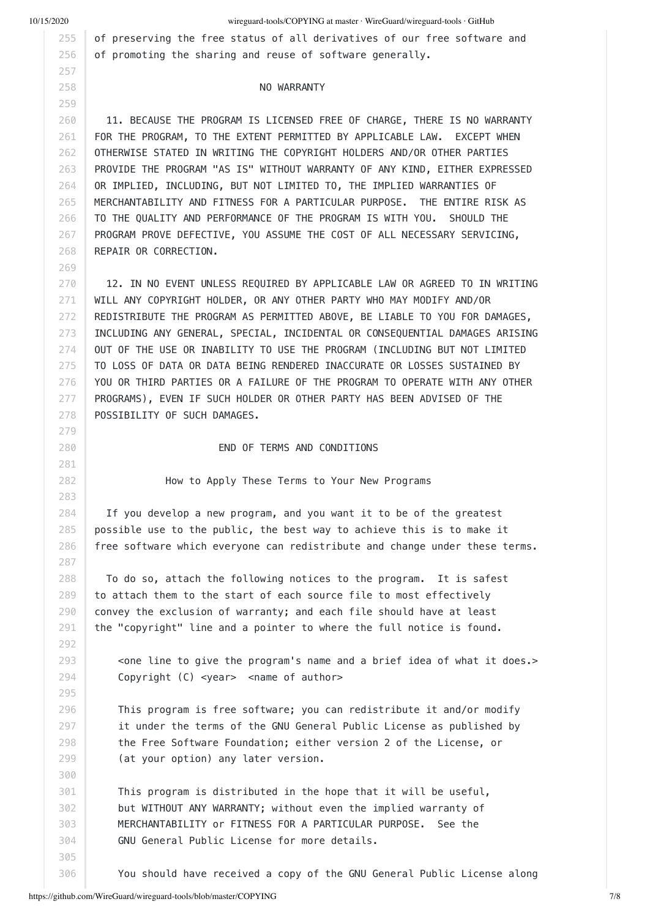269

10/15/2020 wireguard-tools/COPYING at master · WireGuard/wireguard-tools · GitHub

of preserving the free status of all derivatives of our free software and of promoting the sharing and reuse of software generally.

#### NO WARRANTY

260 261 262 263 264 265 266 267 268 11. BECAUSE THE PROGRAM IS LICENSED FREE OF CHARGE, THERE IS NO WARRANTY FOR THE PROGRAM, TO THE EXTENT PERMITTED BY APPLICABLE LAW. EXCEPT WHEN OTHERWISE STATED IN WRITING THE COPYRIGHT HOLDERS AND/OR OTHER PARTIES PROVIDE THE PROGRAM "AS IS" WITHOUT WARRANTY OF ANY KIND, EITHER EXPRESSED OR IMPLIED, INCLUDING, BUT NOT LIMITED TO, THE IMPLIED WARRANTIES OF MERCHANTABILITY AND FITNESS FOR A PARTICULAR PURPOSE. THE ENTIRE RISK AS TO THE QUALITY AND PERFORMANCE OF THE PROGRAM IS WITH YOU. SHOULD THE PROGRAM PROVE DEFECTIVE, YOU ASSUME THE COST OF ALL NECESSARY SERVICING, REPAIR OR CORRECTION.

270 271 272 273 274 275 276 277 278 12. IN NO EVENT UNLESS REQUIRED BY APPLICABLE LAW OR AGREED TO IN WRITING WILL ANY COPYRIGHT HOLDER, OR ANY OTHER PARTY WHO MAY MODIFY AND/OR REDISTRIBUTE THE PROGRAM AS PERMITTED ABOVE, BE LIABLE TO YOU FOR DAMAGES, INCLUDING ANY GENERAL, SPECIAL, INCIDENTAL OR CONSEQUENTIAL DAMAGES ARISING OUT OF THE USE OR INABILITY TO USE THE PROGRAM (INCLUDING BUT NOT LIMITED TO LOSS OF DATA OR DATA BEING RENDERED INACCURATE OR LOSSES SUSTAINED BY YOU OR THIRD PARTIES OR A FAILURE OF THE PROGRAM TO OPERATE WITH ANY OTHER PROGRAMS), EVEN IF SUCH HOLDER OR OTHER PARTY HAS BEEN ADVISED OF THE POSSIBILITY OF SUCH DAMAGES.

END OF TERMS AND CONDITIONS

How to Apply These Terms to Your New Programs

284 285 286 If you develop a new program, and you want it to be of the greatest possible use to the public, the best way to achieve this is to make it free software which everyone can redistribute and change under these terms.

 To do so, attach the following notices to the program. It is safest to attach them to the start of each source file to most effectively convey the exclusion of warranty; and each file should have at least the "copyright" line and a pointer to where the full notice is found.

 <one line to give the program's name and a brief idea of what it does.> Copyright (C) <year> <name of author>

 This program is free software; you can redistribute it and/or modify it under the terms of the GNU General Public License as published by the Free Software Foundation; either version 2 of the License, or (at your option) any later version.

 This program is distributed in the hope that it will be useful, but WITHOUT ANY WARRANTY; without even the implied warranty of MERCHANTABILITY or FITNESS FOR A PARTICULAR PURPOSE. See the GNU General Public License for more details.

You should have received a copy of the GNU General Public License along